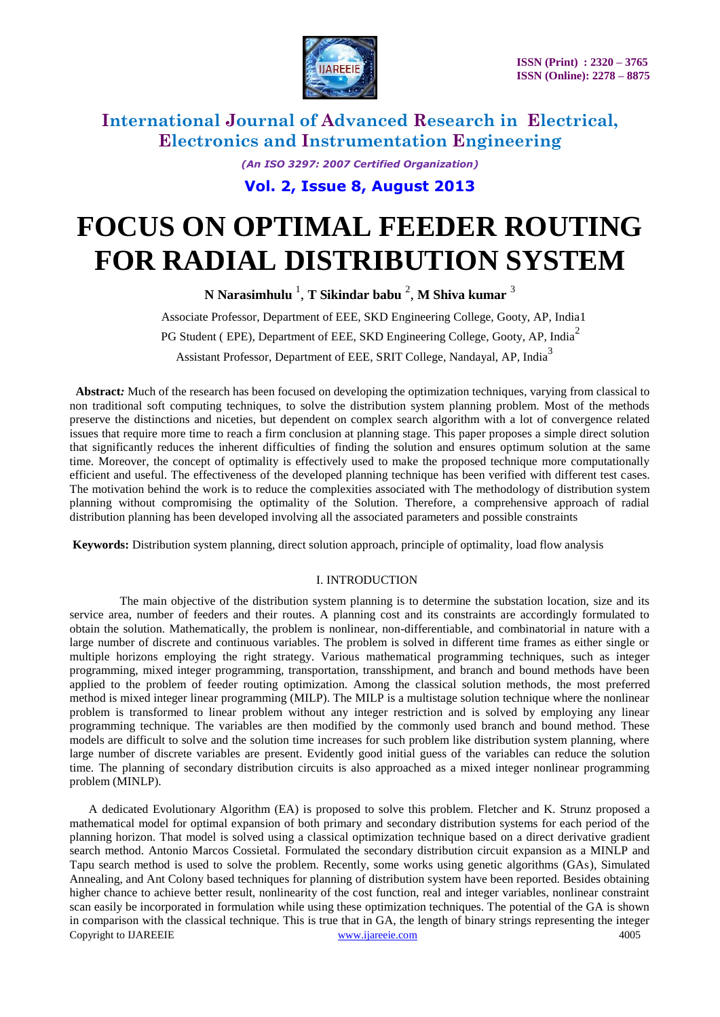

*(An ISO 3297: 2007 Certified Organization)*

**Vol. 2, Issue 8, August 2013**

# **FOCUS ON OPTIMAL FEEDER ROUTING FOR RADIAL DISTRIBUTION SYSTEM**

**N Narasimhulu** <sup>1</sup> , **T Sikindar babu** <sup>2</sup> , **M Shiva kumar** <sup>3</sup>

Associate Professor, Department of EEE, SKD Engineering College, Gooty, AP, India1

PG Student ( EPE), Department of EEE, SKD Engineering College, Gooty, AP, India<sup>2</sup>

Assistant Professor, Department of EEE, SRIT College, Nandayal, AP, India<sup>3</sup>

 **Abstract***:* Much of the research has been focused on developing the optimization techniques, varying from classical to non traditional soft computing techniques, to solve the distribution system planning problem. Most of the methods preserve the distinctions and niceties, but dependent on complex search algorithm with a lot of convergence related issues that require more time to reach a firm conclusion at planning stage. This paper proposes a simple direct solution that significantly reduces the inherent difficulties of finding the solution and ensures optimum solution at the same time. Moreover, the concept of optimality is effectively used to make the proposed technique more computationally efficient and useful. The effectiveness of the developed planning technique has been verified with different test cases. The motivation behind the work is to reduce the complexities associated with The methodology of distribution system planning without compromising the optimality of the Solution. Therefore, a comprehensive approach of radial distribution planning has been developed involving all the associated parameters and possible constraints

**Keywords:** Distribution system planning, direct solution approach, principle of optimality, load flow analysis

### I. INTRODUCTION

The main objective of the distribution system planning is to determine the substation location, size and its service area, number of feeders and their routes. A planning cost and its constraints are accordingly formulated to obtain the solution. Mathematically, the problem is nonlinear, non-differentiable, and combinatorial in nature with a large number of discrete and continuous variables. The problem is solved in different time frames as either single or multiple horizons employing the right strategy. Various mathematical programming techniques, such as integer programming, mixed integer programming, transportation, transshipment, and branch and bound methods have been applied to the problem of feeder routing optimization. Among the classical solution methods, the most preferred method is mixed integer linear programming (MILP). The MILP is a multistage solution technique where the nonlinear problem is transformed to linear problem without any integer restriction and is solved by employing any linear programming technique. The variables are then modified by the commonly used branch and bound method. These models are difficult to solve and the solution time increases for such problem like distribution system planning, where large number of discrete variables are present. Evidently good initial guess of the variables can reduce the solution time. The planning of secondary distribution circuits is also approached as a mixed integer nonlinear programming problem (MINLP).

Copyright to IJAREEIE [www.ijareeie.com](http://www.ijareeie.com/) 4005 A dedicated Evolutionary Algorithm (EA) is proposed to solve this problem. Fletcher and K. Strunz proposed a mathematical model for optimal expansion of both primary and secondary distribution systems for each period of the planning horizon. That model is solved using a classical optimization technique based on a direct derivative gradient search method. Antonio Marcos Cossietal. Formulated the secondary distribution circuit expansion as a MINLP and Tapu search method is used to solve the problem. Recently, some works using genetic algorithms (GAs), Simulated Annealing, and Ant Colony based techniques for planning of distribution system have been reported. Besides obtaining higher chance to achieve better result, nonlinearity of the cost function, real and integer variables, nonlinear constraint scan easily be incorporated in formulation while using these optimization techniques. The potential of the GA is shown in comparison with the classical technique. This is true that in GA, the length of binary strings representing the integer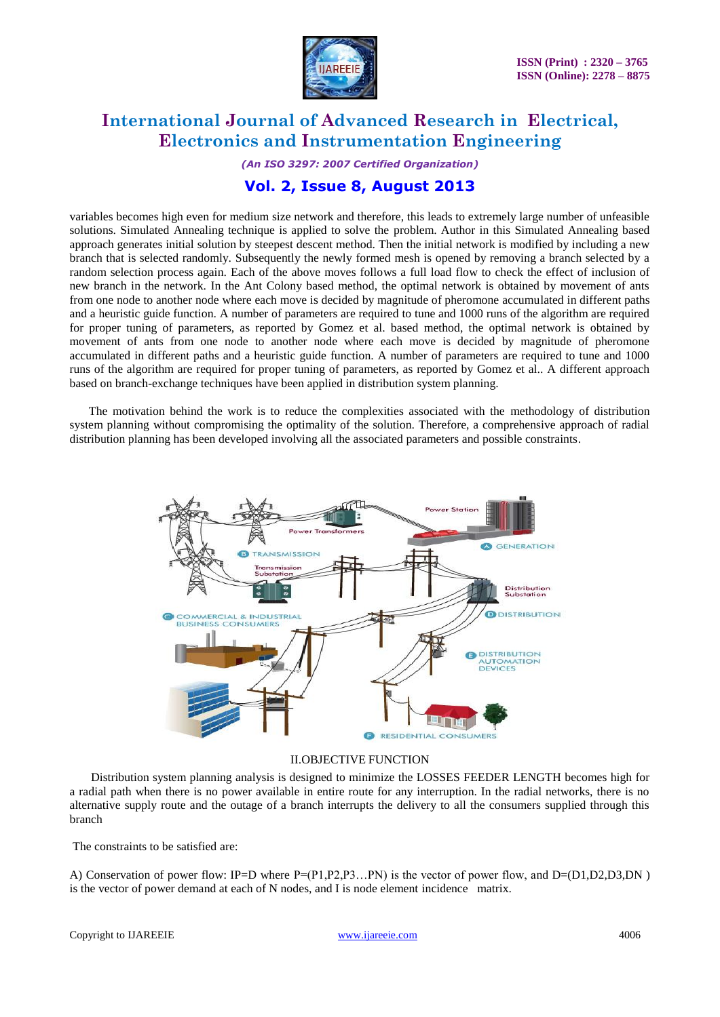

*(An ISO 3297: 2007 Certified Organization)*

### **Vol. 2, Issue 8, August 2013**

variables becomes high even for medium size network and therefore, this leads to extremely large number of unfeasible solutions. Simulated Annealing technique is applied to solve the problem. Author in this Simulated Annealing based approach generates initial solution by steepest descent method. Then the initial network is modified by including a new branch that is selected randomly. Subsequently the newly formed mesh is opened by removing a branch selected by a random selection process again. Each of the above moves follows a full load flow to check the effect of inclusion of new branch in the network. In the Ant Colony based method, the optimal network is obtained by movement of ants from one node to another node where each move is decided by magnitude of pheromone accumulated in different paths and a heuristic guide function. A number of parameters are required to tune and 1000 runs of the algorithm are required for proper tuning of parameters, as reported by Gomez et al. based method, the optimal network is obtained by movement of ants from one node to another node where each move is decided by magnitude of pheromone accumulated in different paths and a heuristic guide function. A number of parameters are required to tune and 1000 runs of the algorithm are required for proper tuning of parameters, as reported by Gomez et al.. A different approach based on branch-exchange techniques have been applied in distribution system planning.

 The motivation behind the work is to reduce the complexities associated with the methodology of distribution system planning without compromising the optimality of the solution. Therefore, a comprehensive approach of radial distribution planning has been developed involving all the associated parameters and possible constraints.



### II.OBJECTIVE FUNCTION

 Distribution system planning analysis is designed to minimize the LOSSES FEEDER LENGTH becomes high for a radial path when there is no power available in entire route for any interruption. In the radial networks, there is no alternative supply route and the outage of a branch interrupts the delivery to all the consumers supplied through this branch

The constraints to be satisfied are:

A) Conservation of power flow: IP=D where P=(P1,P2,P3...PN) is the vector of power flow, and D=(D1,D2,D3,DN) is the vector of power demand at each of N nodes, and I is node element incidence matrix.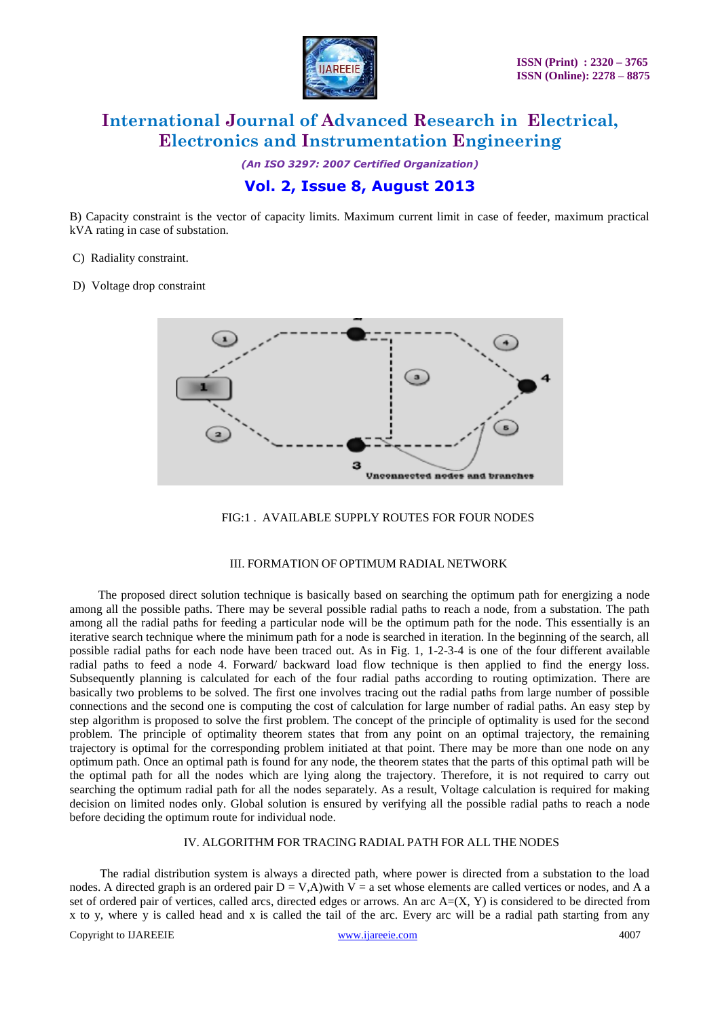

*(An ISO 3297: 2007 Certified Organization)*

### **Vol. 2, Issue 8, August 2013**

B) Capacity constraint is the vector of capacity limits. Maximum current limit in case of feeder, maximum practical kVA rating in case of substation.

C) Radiality constraint.

D) Voltage drop constraint





### III. FORMATION OF OPTIMUM RADIAL NETWORK

 The proposed direct solution technique is basically based on searching the optimum path for energizing a node among all the possible paths. There may be several possible radial paths to reach a node, from a substation. The path among all the radial paths for feeding a particular node will be the optimum path for the node. This essentially is an iterative search technique where the minimum path for a node is searched in iteration. In the beginning of the search, all possible radial paths for each node have been traced out. As in Fig. 1, 1-2-3-4 is one of the four different available radial paths to feed a node 4. Forward/ backward load flow technique is then applied to find the energy loss. Subsequently planning is calculated for each of the four radial paths according to routing optimization. There are basically two problems to be solved. The first one involves tracing out the radial paths from large number of possible connections and the second one is computing the cost of calculation for large number of radial paths. An easy step by step algorithm is proposed to solve the first problem. The concept of the principle of optimality is used for the second problem. The principle of optimality theorem states that from any point on an optimal trajectory, the remaining trajectory is optimal for the corresponding problem initiated at that point. There may be more than one node on any optimum path. Once an optimal path is found for any node, the theorem states that the parts of this optimal path will be the optimal path for all the nodes which are lying along the trajectory. Therefore, it is not required to carry out searching the optimum radial path for all the nodes separately. As a result, Voltage calculation is required for making decision on limited nodes only. Global solution is ensured by verifying all the possible radial paths to reach a node before deciding the optimum route for individual node.

### IV. ALGORITHM FOR TRACING RADIAL PATH FOR ALL THE NODES

 The radial distribution system is always a directed path, where power is directed from a substation to the load nodes. A directed graph is an ordered pair  $D = V$ , A) with  $V = a$  set whose elements are called vertices or nodes, and A a set of ordered pair of vertices, called arcs, directed edges or arrows. An arc  $A=(X, Y)$  is considered to be directed from x to y, where y is called head and x is called the tail of the arc. Every arc will be a radial path starting from any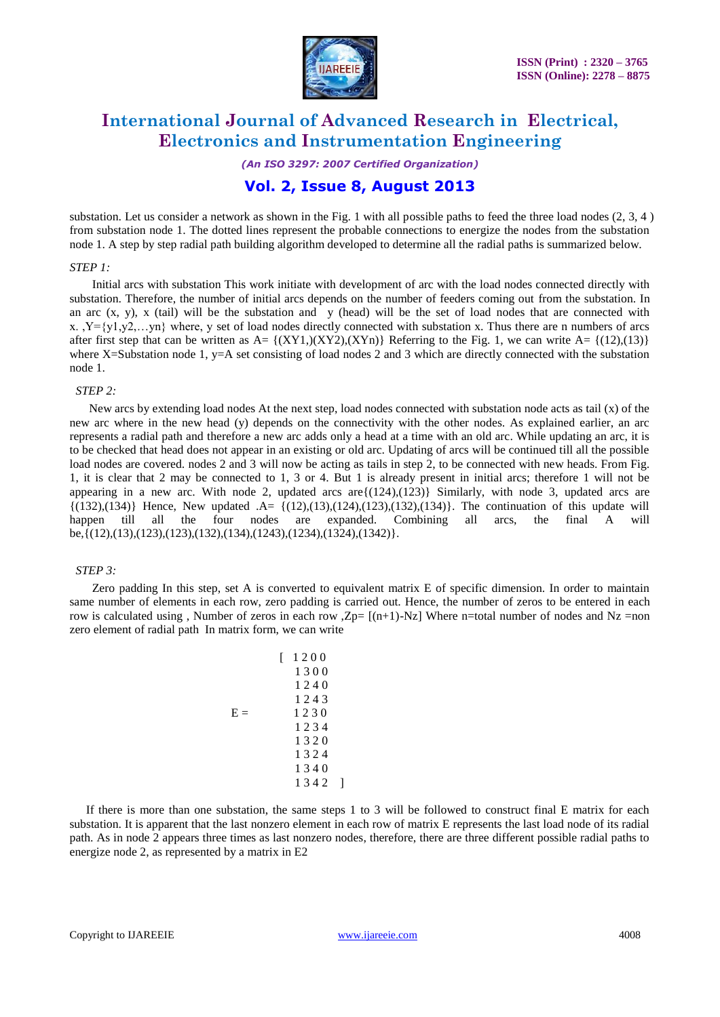

*(An ISO 3297: 2007 Certified Organization)*

### **Vol. 2, Issue 8, August 2013**

substation. Let us consider a network as shown in the Fig. 1 with all possible paths to feed the three load nodes  $(2, 3, 4)$ from substation node 1. The dotted lines represent the probable connections to energize the nodes from the substation node 1. A step by step radial path building algorithm developed to determine all the radial paths is summarized below.

#### *STEP 1:*

 Initial arcs with substation This work initiate with development of arc with the load nodes connected directly with substation. Therefore, the number of initial arcs depends on the number of feeders coming out from the substation. In an arc  $(x, y)$ , x (tail) will be the substation and y (head) will be the set of load nodes that are connected with x.  $, Y = \{y1, y2, \ldots, yn\}$  where, y set of load nodes directly connected with substation x. Thus there are n numbers of arcs after first step that can be written as  $A = \{(XY1,)(XY2),(XYn)\}\$ Referring to the Fig. 1, we can write  $A = \{(12),(13)\}\$ where X=Substation node 1,  $y=$  A set consisting of load nodes 2 and 3 which are directly connected with the substation node 1.

#### *STEP 2:*

New arcs by extending load nodes At the next step, load nodes connected with substation node acts as tail (x) of the new arc where in the new head (y) depends on the connectivity with the other nodes. As explained earlier, an arc represents a radial path and therefore a new arc adds only a head at a time with an old arc. While updating an arc, it is to be checked that head does not appear in an existing or old arc. Updating of arcs will be continued till all the possible load nodes are covered. nodes 2 and 3 will now be acting as tails in step 2, to be connected with new heads. From Fig. 1, it is clear that 2 may be connected to 1, 3 or 4. But 1 is already present in initial arcs; therefore 1 will not be appearing in a new arc. With node 2, updated arcs are ${(124),(123)}$  Similarly, with node 3, updated arcs are  $\{(132),(134)\}$  Hence, New updated .A=  $\{(12),(13),(124),(123),(132),(134)\}$ . The continuation of this update will happen till all the four nodes are expanded. Combining all arcs, the final A will be,{(12),(13),(123),(123),(132),(134),(1243),(1234),(1324),(1342)}.

### *STEP 3:*

 Zero padding In this step, set A is converted to equivalent matrix E of specific dimension. In order to maintain same number of elements in each row, zero padding is carried out. Hence, the number of zeros to be entered in each row is calculated using, Number of zeros in each row,  $Zp=[(n+1)-Nz]$  Where n=total number of nodes and Nz =non zero element of radial path In matrix form, we can write

|       | 1200 |
|-------|------|
|       | 1300 |
|       | 1240 |
|       | 1243 |
| $E =$ | 1230 |
|       | 1234 |
|       | 1320 |
|       | 1324 |
|       | 1340 |
|       | 1342 |

If there is more than one substation, the same steps 1 to 3 will be followed to construct final E matrix for each substation. It is apparent that the last nonzero element in each row of matrix E represents the last load node of its radial path. As in node 2 appears three times as last nonzero nodes, therefore, there are three different possible radial paths to energize node 2, as represented by a matrix in E2

 $\overline{1}$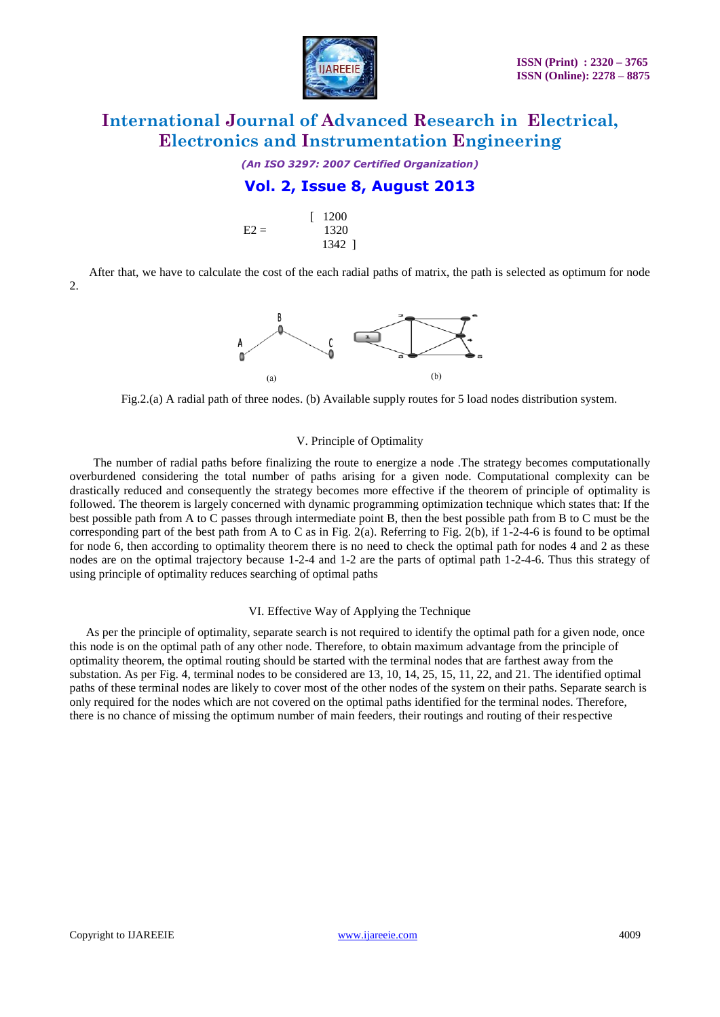

*(An ISO 3297: 2007 Certified Organization)*

### **Vol. 2, Issue 8, August 2013**

|        | $\lceil 1200 \rceil$ |
|--------|----------------------|
| $E2 =$ | 1320                 |
|        | 1342 ]               |

After that, we have to calculate the cost of the each radial paths of matrix, the path is selected as optimum for node 2.



Fig.2.(a) A radial path of three nodes. (b) Available supply routes for 5 load nodes distribution system.

### V. Principle of Optimality

 The number of radial paths before finalizing the route to energize a node .The strategy becomes computationally overburdened considering the total number of paths arising for a given node. Computational complexity can be drastically reduced and consequently the strategy becomes more effective if the theorem of principle of optimality is followed. The theorem is largely concerned with dynamic programming optimization technique which states that: If the best possible path from A to C passes through intermediate point B, then the best possible path from B to C must be the corresponding part of the best path from A to C as in Fig. 2(a). Referring to Fig. 2(b), if  $1-2-4-6$  is found to be optimal for node 6, then according to optimality theorem there is no need to check the optimal path for nodes 4 and 2 as these nodes are on the optimal trajectory because 1-2-4 and 1-2 are the parts of optimal path 1-2-4-6. Thus this strategy of using principle of optimality reduces searching of optimal paths

#### VI. Effective Way of Applying the Technique

As per the principle of optimality, separate search is not required to identify the optimal path for a given node, once this node is on the optimal path of any other node. Therefore, to obtain maximum advantage from the principle of optimality theorem, the optimal routing should be started with the terminal nodes that are farthest away from the substation. As per Fig. 4, terminal nodes to be considered are 13, 10, 14, 25, 15, 11, 22, and 21. The identified optimal paths of these terminal nodes are likely to cover most of the other nodes of the system on their paths. Separate search is only required for the nodes which are not covered on the optimal paths identified for the terminal nodes. Therefore, there is no chance of missing the optimum number of main feeders, their routings and routing of their respective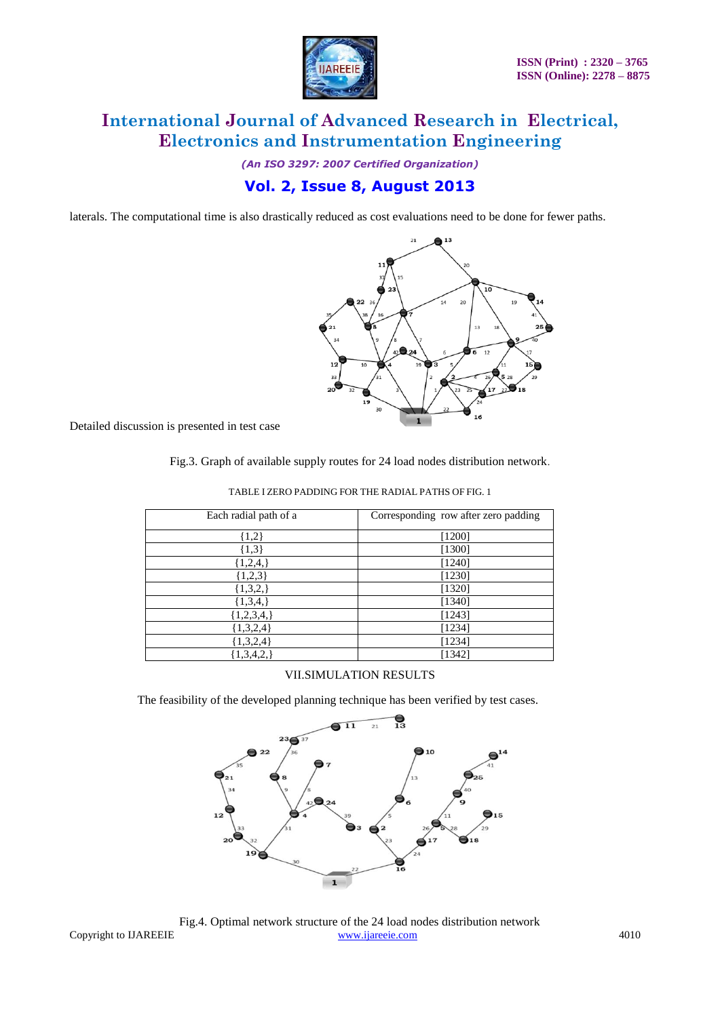

*(An ISO 3297: 2007 Certified Organization)*

## **Vol. 2, Issue 8, August 2013**

laterals. The computational time is also drastically reduced as cost evaluations need to be done for fewer paths.



Detailed discussion is presented in test case

Fig.3. Graph of available supply routes for 24 load nodes distribution network.

| Each radial path of a | Corresponding row after zero padding |
|-----------------------|--------------------------------------|
| ${1,2}$               | $[1200]$                             |
| ${1,3}$               | [1300]                               |
| ${1,2,4,}$            | [1240]                               |
| ${1,2,3}$             | [1230]                               |
| 1,3,2,                | [1320]                               |
| ${1,3,4,}$            | [1340]                               |
| $\{1,2,3,4,\}$        | [1243]                               |
| ${1,3,2,4}$           | [1234]                               |
| ${1,3,2,4}$           | [1234]                               |
| [1,3,4,2,]            | [1342]                               |

TABLE I ZERO PADDING FOR THE RADIAL PATHS OF FIG. 1

### VII.SIMULATION RESULTS

The feasibility of the developed planning technique has been verified by test cases.



Copyright to IJAREEIE [www.ijareeie.com](http://www.ijareeie.com/) 4010 Fig.4. Optimal network structure of the 24 load nodes distribution network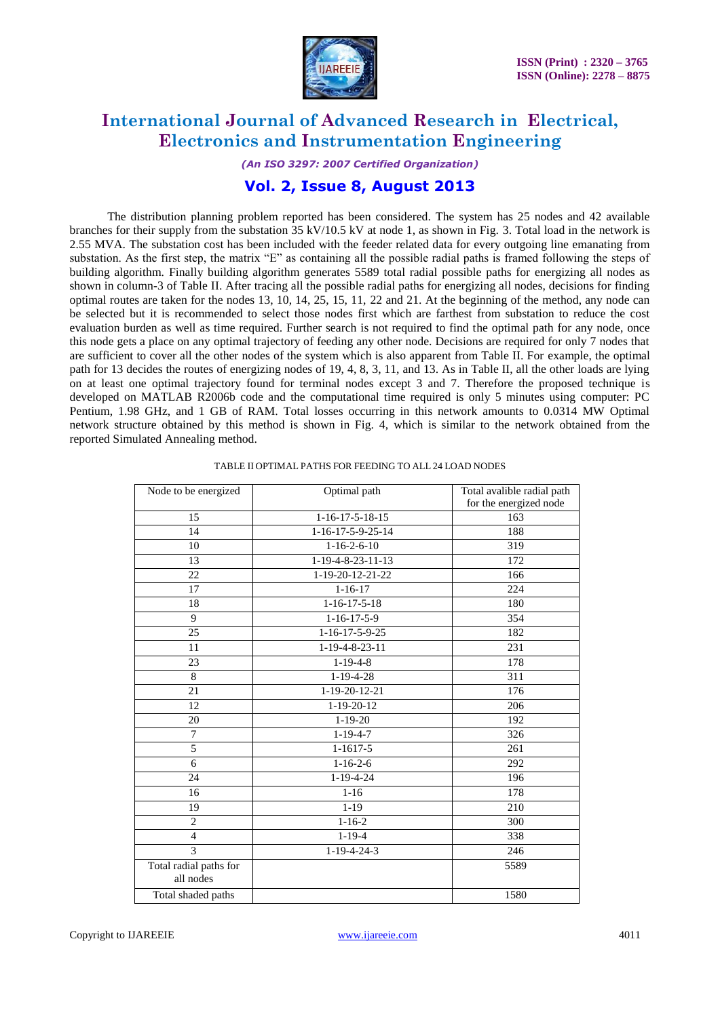

*(An ISO 3297: 2007 Certified Organization)*

### **Vol. 2, Issue 8, August 2013**

 The distribution planning problem reported has been considered. The system has 25 nodes and 42 available branches for their supply from the substation 35 kV/10.5 kV at node 1, as shown in Fig. 3. Total load in the network is 2.55 MVA. The substation cost has been included with the feeder related data for every outgoing line emanating from substation. As the first step, the matrix "E" as containing all the possible radial paths is framed following the steps of building algorithm. Finally building algorithm generates 5589 total radial possible paths for energizing all nodes as shown in column-3 of Table II. After tracing all the possible radial paths for energizing all nodes, decisions for finding optimal routes are taken for the nodes 13, 10, 14, 25, 15, 11, 22 and 21. At the beginning of the method, any node can be selected but it is recommended to select those nodes first which are farthest from substation to reduce the cost evaluation burden as well as time required. Further search is not required to find the optimal path for any node, once this node gets a place on any optimal trajectory of feeding any other node. Decisions are required for only 7 nodes that are sufficient to cover all the other nodes of the system which is also apparent from Table II. For example, the optimal path for 13 decides the routes of energizing nodes of 19, 4, 8, 3, 11, and 13. As in Table II, all the other loads are lying on at least one optimal trajectory found for terminal nodes except 3 and 7. Therefore the proposed technique is developed on MATLAB R2006b code and the computational time required is only 5 minutes using computer: PC Pentium, 1.98 GHz, and 1 GB of RAM. Total losses occurring in this network amounts to 0.0314 MW Optimal network structure obtained by this method is shown in Fig. 4, which is similar to the network obtained from the reported Simulated Annealing method.

| Node to be energized   | Optimal path           | Total avalible radial path<br>for the energized node |
|------------------------|------------------------|------------------------------------------------------|
| 15                     | $1-16-17-5-18-15$      | 163                                                  |
| 14                     | $1-16-17-5-9-25-14$    | 188                                                  |
| 10                     | $1 - 16 - 2 - 6 - 10$  | 319                                                  |
| 13                     | $1-19-4-8-23-11-13$    | 172                                                  |
| 22                     | 1-19-20-12-21-22       | 166                                                  |
| 17                     | $1 - 16 - 17$          | 224                                                  |
| 18                     | $1 - 16 - 17 - 5 - 18$ | 180                                                  |
| 9                      | $1 - 16 - 17 - 5 - 9$  | 354                                                  |
| 25                     | $1-16-17-5-9-25$       | 182                                                  |
| 11                     | 1-19-4-8-23-11         | 231                                                  |
| 23                     | $1 - 19 - 4 - 8$       | 178                                                  |
| 8                      | $1-19-4-28$            | 311                                                  |
| 21                     | 1-19-20-12-21          | 176                                                  |
| 12                     | $1-19-20-12$           | 206                                                  |
| 20                     | $1 - 19 - 20$          | 192                                                  |
| 7                      | $1-19-4-7$             | $\overline{326}$                                     |
| 5                      | $1 - 1617 - 5$         | 261                                                  |
| 6                      | $1 - 16 - 2 - 6$       | 292                                                  |
| 24                     | $1 - 19 - 4 - 24$      | 196                                                  |
| 16                     | $1 - 16$               | 178                                                  |
| 19                     | $1 - 19$               | 210                                                  |
| $\overline{c}$         | $1 - 16 - 2$           | 300                                                  |
| $\overline{4}$         | $1 - 19 - 4$           | 338                                                  |
| 3                      | $1 - 19 - 4 - 24 - 3$  | 246                                                  |
| Total radial paths for |                        | 5589                                                 |
| all nodes              |                        |                                                      |
| Total shaded paths     |                        | 1580                                                 |

TABLE II OPTIMAL PATHS FOR FEEDING TO ALL 24 LOAD NODES